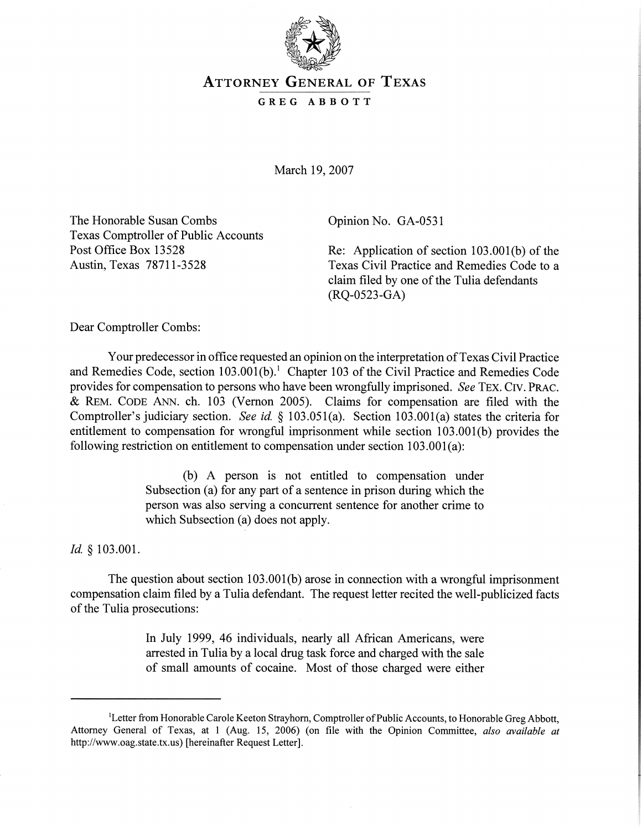

## **ATTORNEY GENERAL OF TEXAS**

**GREG ABBOTT** 

March 19,2007

The Honorable Susan Combs Opinion No. GA-0531 Texas Comptroller of Public Accounts

Re: Application of section  $103.001(b)$  of the Austin, Texas 78711-3528 Texas Civil Practice and Remedies Code to a claim filed by one of the Tulia defendants (RQ-0523-GA)

Dear Comptroller Combs:

Your predecessor in office requested an opinion on the interpretation of Texas Civil Practice and Remedies Code, section 103.001(b).<sup>1</sup> Chapter 103 of the Civil Practice and Remedies Code provides for compensation to persons who have been wrongfully imprisoned. **See** TEX. CIV. PRAC. & REM. CODE ANN. ch. 103 (Vernon 2005). Claims for compensation are filed with the Comptroller's judiciary section. **See** id. *5* 103.05 1 (a). Section 103.001 (a) states the criteria for entitlement to compensation for wrongful imprisonment while section 103.001(b) provides the following restriction on entitlement to compensation under section  $103.001(a)$ :

> (b) A person is not entitled to compensation under Subsection (a) for any part of a sentence in prison during which the person was also serving a concurrent sentence for another crime to which Subsection (a) does not apply.

*Id. 5* 103.001

The question about section 103.001(b) arose in connection with a wrongful imprisonment compensation claim filed by a Tulia defendant. The request letter recited the well-publicized facts of the Tulia prosecutions:

> In July 1999, 46 individuals, nearly all African Americans, were arrested in Tulia by a local drug task force and charged with the sale of small amounts of cocaine. Most of those charged were either

<sup>&</sup>lt;sup>1</sup>Letter from Honorable Carole Keeton Strayhorn, Comptroller of Public Accounts, to Honorable Greg Abbott, Attorney General of Texas, at 1 (Aug. 15, 2006) (on file with the Opinion Committee, *also available at*  http://www.oag.state.tx.us) [hereinafter Request Letter].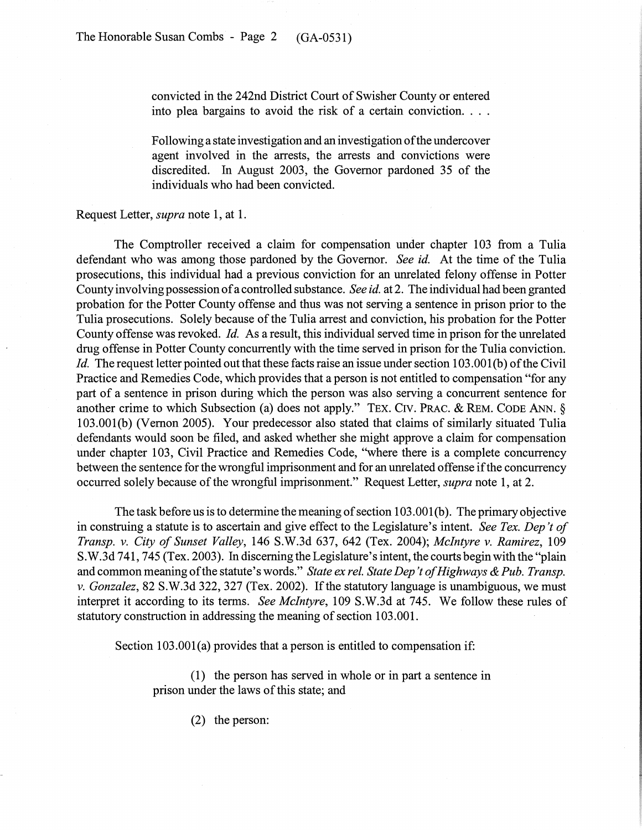convicted in the 242nd District Court of Swisher County or entered into plea bargains to avoid the risk of a certain conviction. . . .

Following a state investigation and an investigation of the undercover agent involved in the arrests, the arrests and convictions were discredited. In August 2003, the Governor pardoned 35 of the individuals who had been convicted.

Request Letter, supra note 1, at 1.

The Comptroller received a claim for compensation under chapter 103 from a Tulia defendant who was among those pardoned by the Governor. See id. At the time of the Tulia prosecutions, this individual had a previous conviction for an unrelated felony offense in Potter County involving possession of a controlled substance. See id. at 2. The individual had been granted probation for the Potter County offense and thus was not serving a sentence in prison prior to the Tulia prosecutions. Solely because of the Tulia arrest and conviction, his probation for the Potter County offense was revoked. Id. As a result, this individual served time in prison for the unrelated drug offense in Potter County concurrently with the time served in prison for the Tulia conviction. Id. The request letter pointed out that these facts raise an issue under section 103.001(b) of the Civil Practice and Remedies Code, which provides that a person is not entitled to compensation "for any part of a sentence in prison during which the person was also serving a concurrent sentence for another crime to which Subsection (a) does not apply." TEX. CIV. PRAC. & REM. CODE ANN. § 103.001(b) (Vernon 2005). Your predecessor also stated that claims of similarly situated Tulia defendants would soon be filed, and asked whether she might approve a claim for compensation under chapter 103, Civil Practice and Remedies Code, "where there is a complete concurrency between the sentence for the wrongful imprisonment and for an unrelated offense if the concurrency occurred solely because of the wrongful imprisonment." Request Letter, *supra* note 1, at 2.

The task before us is to determine the meaning of section 103.001(b). The primary objective in construing a statute is to ascertain and give effect to the Legislature's intent. See Tex. Dep't of Transp. v. City of Sunset Valley, 146 S.W.3d 637, 642 (Tex. 2004); McIntyre v. Ramirez, 109 S.W.3d 741,745 (Tex. 2003). In discerning the Legislature's intent, the courts begin with the "plain and common meaning of the statute's words." State ex rel. State Dep't of Highways & Pub. Transp. v. Gonzalez, 82 S.W.3d 322, 327 (Tex. 2002). If the statutory language is unambiguous, we must interpret it according to its terms. See McIntyre, 109 S.W.3d at 745. We follow these rules of statutory construction in addressing the meaning of section 103.001.

Section  $103.001(a)$  provides that a person is entitled to compensation if:

(1) the person has served in whole or in part a sentence in prison under the laws of this state; and

(2) the person: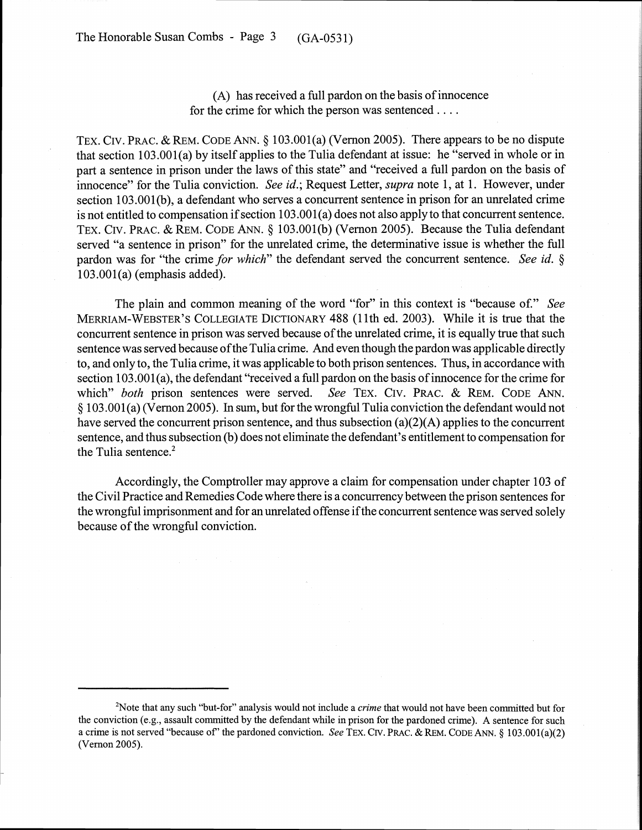The Honorable Susan Combs - Page 3 (GA-053 1)

## (A) has received a full pardon on the basis of innocence for the crime for which the person was sentenced . . . .

TEX. CIV. PRAC. & REM. CODE ANN. *5* 103.001(a) (Vernon 2005). There appears to be no dispute that section 103.001(a) by itself applies to the Tulia defendant at issue: he "sewed in whole or in part a sentence in prison under the laws of this state" and "received a full pardon on the basis of innocence" for the Tulia conviction. **See** *id.;* Request Letter, *supra* note 1, at 1. However, under section 103,001(b), a defendant who serves a concurrent sentence in prison for an unrelated crime is not entitled to compensation if section 103.001(a) does not also apply to that concurrent sentence. TEX. CIV. PRAC. & REM. CODE ANN. *5* 103.001(b) (Vernon 2005). Because the Tulia defendant served "a sentence in prison" for the unrelated crime, the determinative issue is whether the full pardon was for "the crime *for which"* the defendant sewed the concurrent sentence. **See** *id. 5*  103.001(a) (emphasis added).

The plain and common meaning of the word "for" in this context is "because of." **See**  MERRIAM-WEBSTER'S COLLEGIATE DICTIONARY 488 (1 lth ed. 2003). While it is true that the concurrent sentence in prison was served because of the unrelated crime, it is equally true that such sentence was served because of the Tulia crime. And even though the pardon was applicable directly to, and only to, the Tulia crime, it was applicable to both prison sentences. Thus, in accordance with section 103.001(a), the defendant "received a full pardon on the basis of innocence for the crime for which" *both* prison sentences were sewed. **See** TEX. CIV. PRAC. & REM. CODE ANN. *5* 103.001 (a) (Vernon 2005). In sum, but for the wrongful Tulia conviction the defendant would not have served the concurrent prison sentence, and thus subsection  $(a)(2)(A)$  applies to the concurrent sentence, and thus subsection (b) does not eliminate the defendant's entitlement to compensation for the Tulia sentence. $2$ 

Accordingly, the Comptroller may approve a claim for compensation under chapter 103 of the Civil Practice and Remedies Code where there is a concurrency between the prison sentences for the wrongful imprisonment and for an unrelated offense if the concurrent sentence was served solely because of the wrongful conviction.

<sup>&#</sup>x27;Note that any such "but-for" analysis would not include a *crime* that would not have been committed but for the conviction (e.g., assault committed by the defendant while in prison for the pardoned crime). A sentence for such a crime is not served "because of" the pardoned conviction. *See* TEX. CIV. PRAC. & REM. CODE ANN.  $\frac{103.001(a)(2)}{2}$ (Vernon 2005).